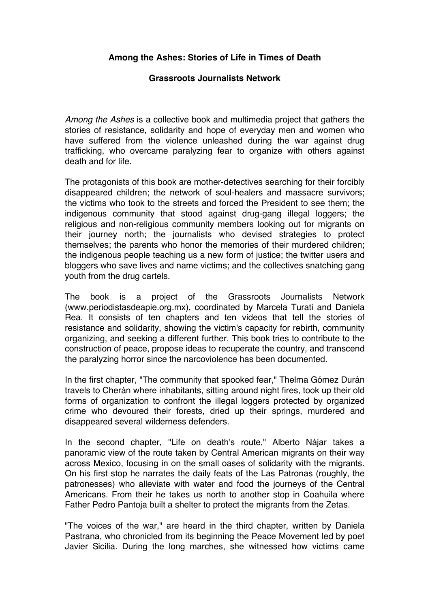## **Among the Ashes: Stories of Life in Times of Death**

## **Grassroots Journalists Network**

*Among the Ashes* is a collective book and multimedia project that gathers the stories of resistance, solidarity and hope of everyday men and women who have suffered from the violence unleashed during the war against drug trafficking, who overcame paralyzing fear to organize with others against death and for life.

The protagonists of this book are mother-detectives searching for their forcibly disappeared children; the network of soul-healers and massacre survivors; the victims who took to the streets and forced the President to see them; the indigenous community that stood against drug-gang illegal loggers; the religious and non-religious community members looking out for migrants on their journey north; the journalists who devised strategies to protect themselves; the parents who honor the memories of their murdered children; the indigenous people teaching us a new form of justice; the twitter users and bloggers who save lives and name victims; and the collectives snatching gang youth from the drug cartels.

The book is a project of the Grassroots Journalists Network (www.periodistasdeapie.org.mx), coordinated by Marcela Turati and Daniela Rea. It consists of ten chapters and ten videos that tell the stories of resistance and solidarity, showing the victim's capacity for rebirth, community organizing, and seeking a different further. This book tries to contribute to the construction of peace, propose ideas to recuperate the country, and transcend the paralyzing horror since the narcoviolence has been documented.

In the first chapter, "The community that spooked fear," Thelma Gómez Durán travels to Cherán where inhabitants, sitting around night fires, took up their old forms of organization to confront the illegal loggers protected by organized crime who devoured their forests, dried up their springs, murdered and disappeared several wilderness defenders.

In the second chapter, "Life on death's route," Alberto Nájar takes a panoramic view of the route taken by Central American migrants on their way across Mexico, focusing in on the small oases of solidarity with the migrants. On his first stop he narrates the daily feats of the Las Patronas (roughly, the patronesses) who alleviate with water and food the journeys of the Central Americans. From their he takes us north to another stop in Coahuila where Father Pedro Pantoja built a shelter to protect the migrants from the Zetas.

"The voices of the war," are heard in the third chapter, written by Daniela Pastrana, who chronicled from its beginning the Peace Movement led by poet Javier Sicilia. During the long marches, she witnessed how victims came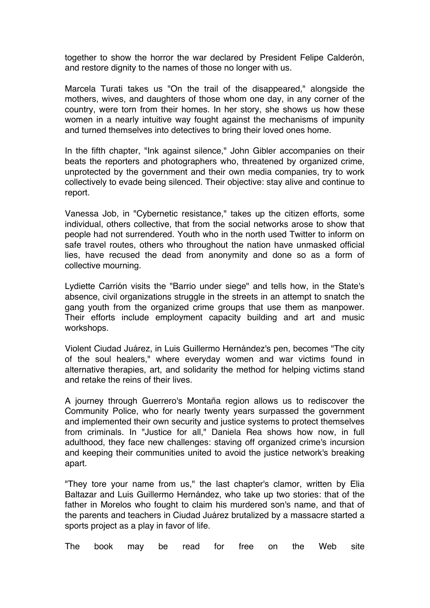together to show the horror the war declared by President Felipe Calderón, and restore dignity to the names of those no longer with us.

Marcela Turati takes us "On the trail of the disappeared," alongside the mothers, wives, and daughters of those whom one day, in any corner of the country, were torn from their homes. In her story, she shows us how these women in a nearly intuitive way fought against the mechanisms of impunity and turned themselves into detectives to bring their loved ones home.

In the fifth chapter, "Ink against silence," John Gibler accompanies on their beats the reporters and photographers who, threatened by organized crime, unprotected by the government and their own media companies, try to work collectively to evade being silenced. Their objective: stay alive and continue to report.

Vanessa Job, in "Cybernetic resistance," takes up the citizen efforts, some individual, others collective, that from the social networks arose to show that people had not surrendered. Youth who in the north used Twitter to inform on safe travel routes, others who throughout the nation have unmasked official lies, have recused the dead from anonymity and done so as a form of collective mourning.

Lydiette Carrión visits the "Barrio under siege" and tells how, in the State's absence, civil organizations struggle in the streets in an attempt to snatch the gang youth from the organized crime groups that use them as manpower. Their efforts include employment capacity building and art and music workshops.

Violent Ciudad Juárez, in Luis Guillermo Hernández's pen, becomes "The city of the soul healers," where everyday women and war victims found in alternative therapies, art, and solidarity the method for helping victims stand and retake the reins of their lives.

A journey through Guerrero's Montaña region allows us to rediscover the Community Police, who for nearly twenty years surpassed the government and implemented their own security and justice systems to protect themselves from criminals. In "Justice for all," Daniela Rea shows how now, in full adulthood, they face new challenges: staving off organized crime's incursion and keeping their communities united to avoid the justice network's breaking apart.

"They tore your name from us," the last chapter's clamor, written by Elia Baltazar and Luis Guillermo Hernández, who take up two stories: that of the father in Morelos who fought to claim his murdered son's name, and that of the parents and teachers in Ciudad Juárez brutalized by a massacre started a sports project as a play in favor of life.

The book may be read for free on the Web site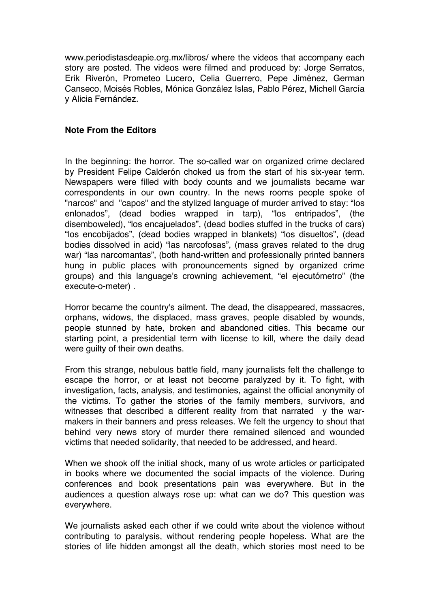www.periodistasdeapie.org.mx/libros/ where the videos that accompany each story are posted. The videos were filmed and produced by: Jorge Serratos, Erik Riverón, Prometeo Lucero, Celia Guerrero, Pepe Jiménez, German Canseco, Moisés Robles, Mónica González Islas, Pablo Pérez, Michell García y Alicia Fernández.

## **Note From the Editors**

In the beginning: the horror. The so-called war on organized crime declared by President Felipe Calderón choked us from the start of his six-year term. Newspapers were filled with body counts and we journalists became war correspondents in our own country. In the news rooms people spoke of "narcos" and "capos" and the stylized language of murder arrived to stay: "los enlonados", (dead bodies wrapped in tarp), "los entripados", (the disemboweled), "los encajuelados", (dead bodies stuffed in the trucks of cars) "los encobijados", (dead bodies wrapped in blankets) "los disueltos", (dead bodies dissolved in acid) "las narcofosas", (mass graves related to the drug war) "las narcomantas", (both hand-written and professionally printed banners hung in public places with pronouncements signed by organized crime groups) and this language's crowning achievement, "el ejecutómetro" (the execute-o-meter) .

Horror became the country's ailment. The dead, the disappeared, massacres, orphans, widows, the displaced, mass graves, people disabled by wounds, people stunned by hate, broken and abandoned cities. This became our starting point, a presidential term with license to kill, where the daily dead were guilty of their own deaths.

From this strange, nebulous battle field, many journalists felt the challenge to escape the horror, or at least not become paralyzed by it. To fight, with investigation, facts, analysis, and testimonies, against the official anonymity of the victims. To gather the stories of the family members, survivors, and witnesses that described a different reality from that narrated y the warmakers in their banners and press releases. We felt the urgency to shout that behind very news story of murder there remained silenced and wounded victims that needed solidarity, that needed to be addressed, and heard.

When we shook off the initial shock, many of us wrote articles or participated in books where we documented the social impacts of the violence. During conferences and book presentations pain was everywhere. But in the audiences a question always rose up: what can we do? This question was everywhere.

We journalists asked each other if we could write about the violence without contributing to paralysis, without rendering people hopeless. What are the stories of life hidden amongst all the death, which stories most need to be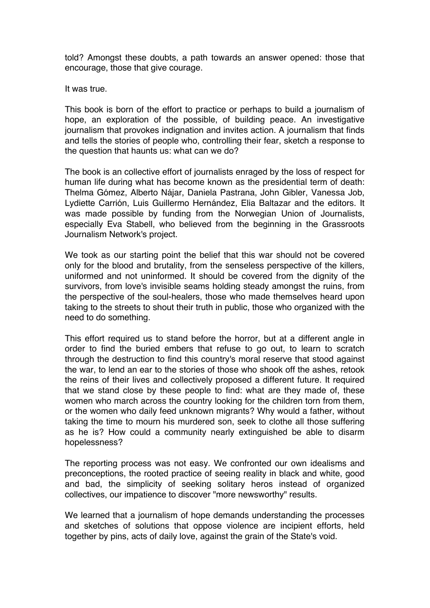told? Amongst these doubts, a path towards an answer opened: those that encourage, those that give courage.

It was true.

This book is born of the effort to practice or perhaps to build a journalism of hope, an exploration of the possible, of building peace. An investigative journalism that provokes indignation and invites action. A journalism that finds and tells the stories of people who, controlling their fear, sketch a response to the question that haunts us: what can we do?

The book is an collective effort of journalists enraged by the loss of respect for human life during what has become known as the presidential term of death: Thelma Gómez, Alberto Nájar, Daniela Pastrana, John Gibler, Vanessa Job, Lydiette Carrión, Luis Guillermo Hernández, Elia Baltazar and the editors. It was made possible by funding from the Norwegian Union of Journalists, especially Eva Stabell, who believed from the beginning in the Grassroots Journalism Network's project.

We took as our starting point the belief that this war should not be covered only for the blood and brutality, from the senseless perspective of the killers, uniformed and not uninformed. It should be covered from the dignity of the survivors, from love's invisible seams holding steady amongst the ruins, from the perspective of the soul-healers, those who made themselves heard upon taking to the streets to shout their truth in public, those who organized with the need to do something.

This effort required us to stand before the horror, but at a different angle in order to find the buried embers that refuse to go out, to learn to scratch through the destruction to find this country's moral reserve that stood against the war, to lend an ear to the stories of those who shook off the ashes, retook the reins of their lives and collectively proposed a different future. It required that we stand close by these people to find: what are they made of, these women who march across the country looking for the children torn from them, or the women who daily feed unknown migrants? Why would a father, without taking the time to mourn his murdered son, seek to clothe all those suffering as he is? How could a community nearly extinguished be able to disarm hopelessness?

The reporting process was not easy. We confronted our own idealisms and preconceptions, the rooted practice of seeing reality in black and white, good and bad, the simplicity of seeking solitary heros instead of organized collectives, our impatience to discover "more newsworthy" results.

We learned that a journalism of hope demands understanding the processes and sketches of solutions that oppose violence are incipient efforts, held together by pins, acts of daily love, against the grain of the State's void.